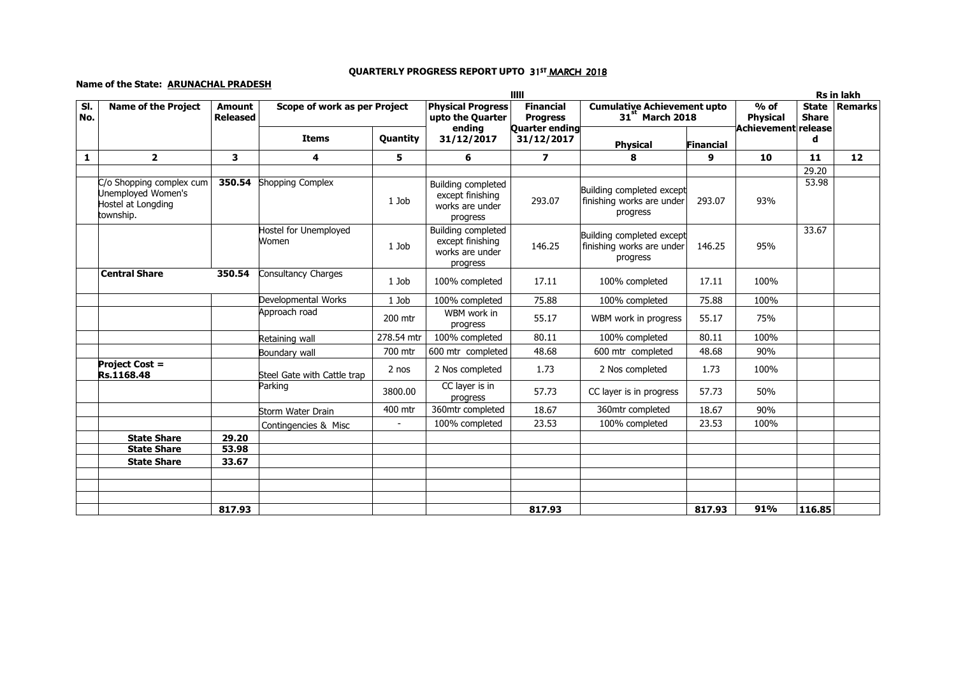## QUARTERLY PROGRESS REPORT UPTO 31ST<u>MARCH 2018</u>

## Name of the State: ARUNACHAL PRADESH

|            |                                                                                   |                                  | IIII                           |                 |                                                                              |                                     |                                                                    |                  | <b>Rs in lakh</b>         |                              |         |
|------------|-----------------------------------------------------------------------------------|----------------------------------|--------------------------------|-----------------|------------------------------------------------------------------------------|-------------------------------------|--------------------------------------------------------------------|------------------|---------------------------|------------------------------|---------|
| SI.<br>No. | <b>Name of the Project</b>                                                        | <b>Amount</b><br><b>Released</b> | Scope of work as per Project   |                 | <b>Physical Progress</b><br>upto the Quarter                                 | <b>Financial</b><br><b>Progress</b> | <b>Cumulative Achievement upto</b><br>31 <sup>st</sup> March 2018  |                  | $%$ of<br><b>Physical</b> | <b>State</b><br><b>Share</b> | Remarks |
|            |                                                                                   |                                  | <b>Items</b>                   | <b>Quantity</b> | ending<br>31/12/2017                                                         | Quarter ending<br>31/12/2017        | <b>Physical</b>                                                    | <b>Financial</b> | Achievement  release      | d                            |         |
| 1          | $\overline{2}$                                                                    | $\overline{\mathbf{3}}$          | 4                              | 5               | 6                                                                            | $\overline{\mathbf{z}}$             | 8                                                                  | 9                | 10                        | 11                           | 12      |
|            | C/o Shopping complex cum<br>Unemployed Women's<br>Hostel at Longding<br>township. | 350.54                           | <b>Shopping Complex</b>        | 1 Job           | Building completed<br>except finishing<br>works are under<br>progress        | 293.07                              | Building completed except<br>finishing works are under<br>progress | 293.07           | 93%                       | 29.20<br>53.98               |         |
|            |                                                                                   |                                  | Hostel for Unemployed<br>Women | 1 Job           | <b>Building completed</b><br>except finishing<br>works are under<br>progress | 146.25                              | Building completed except<br>finishing works are under<br>progress | 146.25           | 95%                       | 33.67                        |         |
|            | <b>Central Share</b>                                                              | 350.54                           | Consultancy Charges            | 1 Job           | 100% completed                                                               | 17.11                               | 100% completed                                                     | 17.11            | 100%                      |                              |         |
|            |                                                                                   |                                  | Developmental Works            | 1 Job           | 100% completed                                                               | 75.88                               | 100% completed                                                     | 75.88            | 100%                      |                              |         |
|            |                                                                                   |                                  | Approach road                  | 200 mtr         | WBM work in<br>progress                                                      | 55.17                               | WBM work in progress                                               | 55.17            | 75%                       |                              |         |
|            |                                                                                   |                                  | Retaining wall                 | 278.54 mtr      | 100% completed                                                               | 80.11                               | 100% completed                                                     | 80.11            | 100%                      |                              |         |
|            |                                                                                   |                                  | Boundary wall                  | 700 mtr         | 600 mtr completed                                                            | 48.68                               | 600 mtr completed                                                  | 48.68            | 90%                       |                              |         |
|            | <b>Project Cost =</b><br>Rs.1168.48                                               |                                  | Steel Gate with Cattle trap    | 2 nos           | 2 Nos completed                                                              | 1.73                                | 2 Nos completed                                                    | 1.73             | 100%                      |                              |         |
|            |                                                                                   |                                  | Parking                        | 3800.00         | CC layer is in<br>progress                                                   | 57.73                               | CC layer is in progress                                            | 57.73            | 50%                       |                              |         |
|            |                                                                                   |                                  | Storm Water Drain              | 400 mtr         | 360mtr completed                                                             | 18.67                               | 360mtr completed                                                   | 18.67            | 90%                       |                              |         |
|            |                                                                                   |                                  | Contingencies & Misc           | $\sim$          | 100% completed                                                               | 23.53                               | 100% completed                                                     | 23.53            | 100%                      |                              |         |
|            | <b>State Share</b>                                                                | 29.20                            |                                |                 |                                                                              |                                     |                                                                    |                  |                           |                              |         |
|            | <b>State Share</b>                                                                | 53.98                            |                                |                 |                                                                              |                                     |                                                                    |                  |                           |                              |         |
|            | <b>State Share</b>                                                                | 33.67                            |                                |                 |                                                                              |                                     |                                                                    |                  |                           |                              |         |
|            |                                                                                   | 817.93                           |                                |                 |                                                                              | 817.93                              |                                                                    | 817.93           | 91%                       | 116.85                       |         |